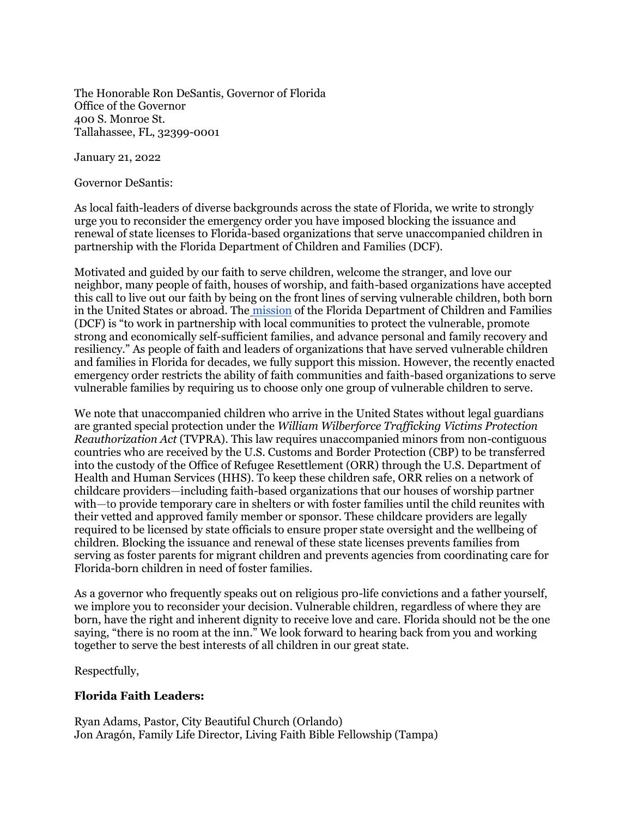The Honorable Ron DeSantis, Governor of Florida Office of the Governor 400 S. Monroe St. Tallahassee, FL, 32399-0001

January 21, 2022

Governor DeSantis:

As local faith-leaders of diverse backgrounds across the state of Florida, we write to strongly urge you to reconsider the emergency order you have imposed blocking the issuance and renewal of state licenses to Florida-based organizations that serve unaccompanied children in partnership with the Florida Department of Children and Families (DCF).

Motivated and guided by our faith to serve children, welcome the stranger, and love our neighbor, many people of faith, houses of worship, and faith-based organizations have accepted this call to live out our faith by being on the front lines of serving vulnerable children, both born in the United States or abroad. The [mission](https://www.myflfamilies.com/about-us/office-secretary/mission-vision-values.shtml#:~:text=The%20mission%20of%20the%20Department,and%20family%20recovery%20and%20resiliency.) of the Florida Department of Children and Families (DCF) is "to work in partnership with local communities to protect the vulnerable, promote strong and economically self-sufficient families, and advance personal and family recovery and resiliency." As people of faith and leaders of organizations that have served vulnerable children and families in Florida for decades, we fully support this mission. However, the recently enacted emergency order restricts the ability of faith communities and faith-based organizations to serve vulnerable families by requiring us to choose only one group of vulnerable children to serve.

We note that unaccompanied children who arrive in the United States without legal guardians are granted special protection under the *William Wilberforce Trafficking Victims Protection Reauthorization Act* (TVPRA). This law requires unaccompanied minors from non-contiguous countries who are received by the U.S. Customs and Border Protection (CBP) to be transferred into the custody of the Office of Refugee Resettlement (ORR) through the U.S. Department of Health and Human Services (HHS). To keep these children safe, ORR relies on a network of childcare providers—including faith-based organizations that our houses of worship partner with—to provide temporary care in shelters or with foster families until the child reunites with their vetted and approved family member or sponsor. These childcare providers are legally required to be licensed by state officials to ensure proper state oversight and the wellbeing of children. Blocking the issuance and renewal of these state licenses prevents families from serving as foster parents for migrant children and prevents agencies from coordinating care for Florida-born children in need of foster families.

As a governor who frequently speaks out on religious pro-life convictions and a father yourself, we implore you to reconsider your decision. Vulnerable children, regardless of where they are born, have the right and inherent dignity to receive love and care. Florida should not be the one saying, "there is no room at the inn." We look forward to hearing back from you and working together to serve the best interests of all children in our great state.

Respectfully,

## **Florida Faith Leaders:**

Ryan Adams, Pastor, City Beautiful Church (Orlando) Jon Aragón, Family Life Director, Living Faith Bible Fellowship (Tampa)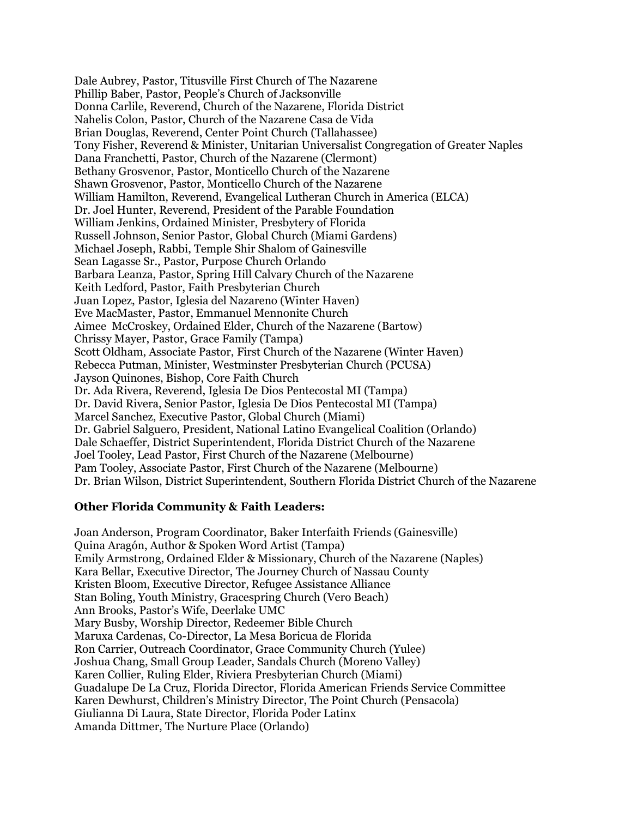Dale Aubrey, Pastor, Titusville First Church of The Nazarene Phillip Baber, Pastor, People's Church of Jacksonville Donna Carlile, Reverend, Church of the Nazarene, Florida District Nahelis Colon, Pastor, Church of the Nazarene Casa de Vida Brian Douglas, Reverend, Center Point Church (Tallahassee) Tony Fisher, Reverend & Minister, Unitarian Universalist Congregation of Greater Naples Dana Franchetti, Pastor, Church of the Nazarene (Clermont) Bethany Grosvenor, Pastor, Monticello Church of the Nazarene Shawn Grosvenor, Pastor, Monticello Church of the Nazarene William Hamilton, Reverend, Evangelical Lutheran Church in America (ELCA) Dr. Joel Hunter, Reverend, President of the Parable Foundation William Jenkins, Ordained Minister, Presbytery of Florida Russell Johnson, Senior Pastor, Global Church (Miami Gardens) Michael Joseph, Rabbi, Temple Shir Shalom of Gainesville Sean Lagasse Sr., Pastor, Purpose Church Orlando Barbara Leanza, Pastor, Spring Hill Calvary Church of the Nazarene Keith Ledford, Pastor, Faith Presbyterian Church Juan Lopez, Pastor, Iglesia del Nazareno (Winter Haven) Eve MacMaster, Pastor, Emmanuel Mennonite Church Aimee McCroskey, Ordained Elder, Church of the Nazarene (Bartow) Chrissy Mayer, Pastor, Grace Family (Tampa) Scott Oldham, Associate Pastor, First Church of the Nazarene (Winter Haven) Rebecca Putman, Minister, Westminster Presbyterian Church (PCUSA) Jayson Quinones, Bishop, Core Faith Church Dr. Ada Rivera, Reverend, Iglesia De Dios Pentecostal MI (Tampa) Dr. David Rivera, Senior Pastor, Iglesia De Dios Pentecostal MI (Tampa) Marcel Sanchez, Executive Pastor, Global Church (Miami) Dr. Gabriel Salguero, President, National Latino Evangelical Coalition (Orlando) Dale Schaeffer, District Superintendent, Florida District Church of the Nazarene Joel Tooley, Lead Pastor, First Church of the Nazarene (Melbourne) Pam Tooley, Associate Pastor, First Church of the Nazarene (Melbourne) Dr. Brian Wilson, District Superintendent, Southern Florida District Church of the Nazarene

## **Other Florida Community & Faith Leaders:**

Joan Anderson, Program Coordinator, Baker Interfaith Friends (Gainesville) Quina Aragón, Author & Spoken Word Artist (Tampa) Emily Armstrong, Ordained Elder & Missionary, Church of the Nazarene (Naples) Kara Bellar, Executive Director, The Journey Church of Nassau County Kristen Bloom, Executive Director, Refugee Assistance Alliance Stan Boling, Youth Ministry, Gracespring Church (Vero Beach) Ann Brooks, Pastor's Wife, Deerlake UMC Mary Busby, Worship Director, Redeemer Bible Church Maruxa Cardenas, Co-Director, La Mesa Boricua de Florida Ron Carrier, Outreach Coordinator, Grace Community Church (Yulee) Joshua Chang, Small Group Leader, Sandals Church (Moreno Valley) Karen Collier, Ruling Elder, Riviera Presbyterian Church (Miami) Guadalupe De La Cruz, Florida Director, Florida American Friends Service Committee Karen Dewhurst, Children's Ministry Director, The Point Church (Pensacola) Giulianna Di Laura, State Director, Florida Poder Latinx Amanda Dittmer, The Nurture Place (Orlando)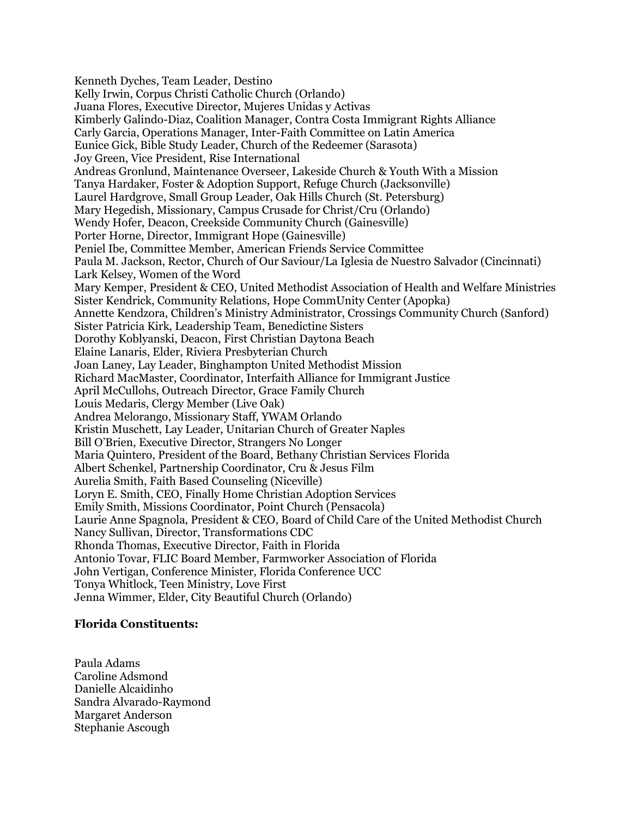Kenneth Dyches, Team Leader, Destino Kelly Irwin, Corpus Christi Catholic Church (Orlando) Juana Flores, Executive Director, Mujeres Unidas y Activas Kimberly Galindo-Diaz, Coalition Manager, Contra Costa Immigrant Rights Alliance Carly Garcia, Operations Manager, Inter-Faith Committee on Latin America Eunice Gick, Bible Study Leader, Church of the Redeemer (Sarasota) Joy Green, Vice President, Rise International Andreas Gronlund, Maintenance Overseer, Lakeside Church & Youth With a Mission Tanya Hardaker, Foster & Adoption Support, Refuge Church (Jacksonville) Laurel Hardgrove, Small Group Leader, Oak Hills Church (St. Petersburg) Mary Hegedish, Missionary, Campus Crusade for Christ/Cru (Orlando) Wendy Hofer, Deacon, Creekside Community Church (Gainesville) Porter Horne, Director, Immigrant Hope (Gainesville) Peniel Ibe, Committee Member, American Friends Service Committee Paula M. Jackson, Rector, Church of Our Saviour/La Iglesia de Nuestro Salvador (Cincinnati) Lark Kelsey, Women of the Word Mary Kemper, President & CEO, United Methodist Association of Health and Welfare Ministries Sister Kendrick, Community Relations, Hope CommUnity Center (Apopka) Annette Kendzora, Children's Ministry Administrator, Crossings Community Church (Sanford) Sister Patricia Kirk, Leadership Team, Benedictine Sisters Dorothy Koblyanski, Deacon, First Christian Daytona Beach Elaine Lanaris, Elder, Riviera Presbyterian Church Joan Laney, Lay Leader, Binghampton United Methodist Mission Richard MacMaster, Coordinator, Interfaith Alliance for Immigrant Justice April McCullohs, Outreach Director, Grace Family Church Louis Medaris, Clergy Member (Live Oak) Andrea Melorango, Missionary Staff, YWAM Orlando Kristin Muschett, Lay Leader, Unitarian Church of Greater Naples Bill O'Brien, Executive Director, Strangers No Longer Maria Quintero, President of the Board, Bethany Christian Services Florida Albert Schenkel, Partnership Coordinator, Cru & Jesus Film Aurelia Smith, Faith Based Counseling (Niceville) Loryn E. Smith, CEO, Finally Home Christian Adoption Services Emily Smith, Missions Coordinator, Point Church (Pensacola) Laurie Anne Spagnola, President & CEO, Board of Child Care of the United Methodist Church Nancy Sullivan, Director, Transformations CDC Rhonda Thomas, Executive Director, Faith in Florida Antonio Tovar, FLIC Board Member, Farmworker Association of Florida John Vertigan, Conference Minister, Florida Conference UCC Tonya Whitlock, Teen Ministry, Love First Jenna Wimmer, Elder, City Beautiful Church (Orlando)

## **Florida Constituents:**

Paula Adams Caroline Adsmond Danielle Alcaidinho Sandra Alvarado-Raymond Margaret Anderson Stephanie Ascough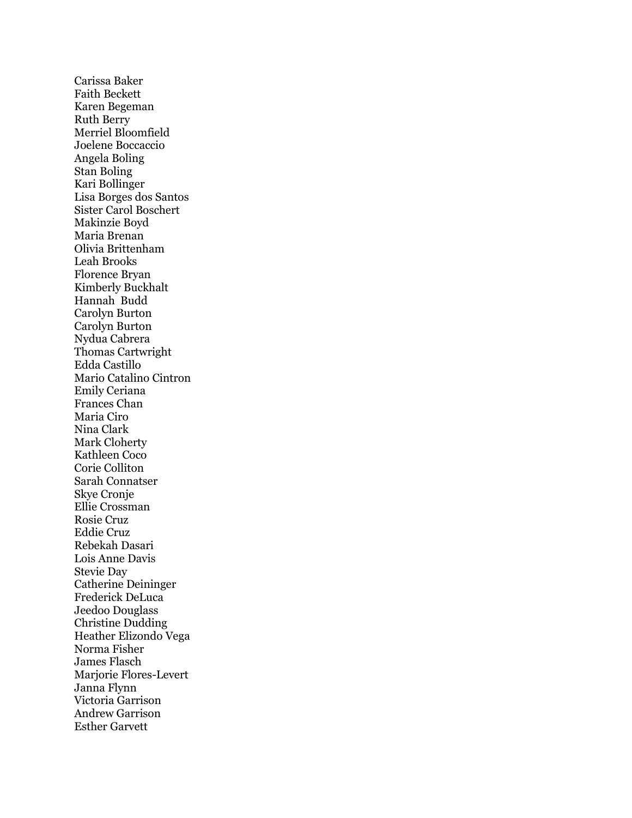Carissa Baker Faith Beckett Karen Begeman Ruth Berry Merriel Bloomfield Joelene Boccaccio Angela Boling Stan Boling Kari Bollinger Lisa Borges dos Santos Sister Carol Boschert Makinzie Boyd Maria Brenan Olivia Brittenham Leah Brooks Florence Bryan Kimberly Buckhalt Hannah Budd Carolyn Burton Carolyn Burton Nydua Cabrera Thomas Cartwright Edda Castillo Mario Catalino Cintron Emily Ceriana Frances Chan Maria Ciro Nina Clark Mark Cloherty Kathleen Coco Corie Colliton Sarah Connatser Skye Cronje Ellie Crossman Rosie Cruz Eddie Cruz Rebekah Dasari Lois Anne Davis Stevie Day Catherine Deininger Frederick DeLuca Jeedoo Douglass Christine Dudding Heather Elizondo Vega Norma Fisher James Flasch Marjorie Flores-Levert Janna Flynn Victoria Garrison Andrew Garrison Esther Garvett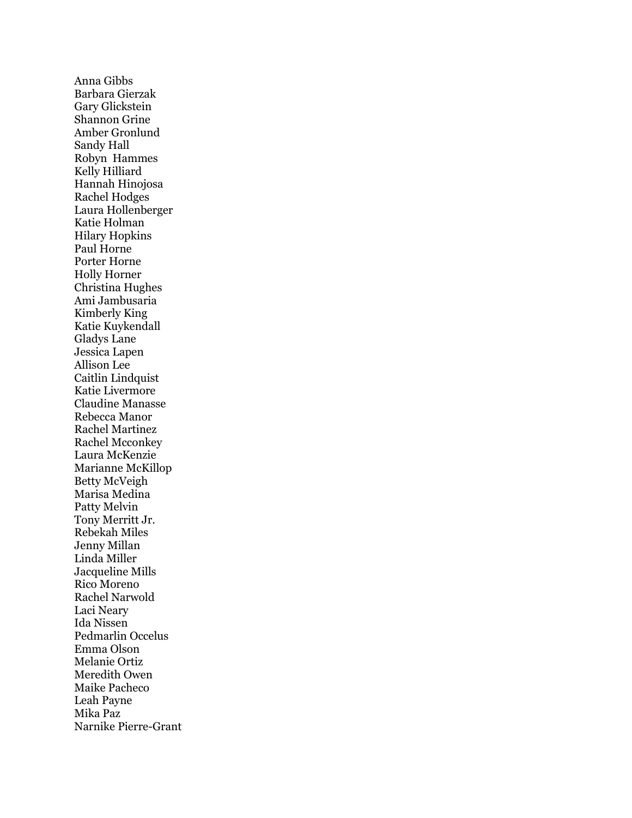Anna Gibbs Barbara Gierzak Gary Glickstein Shannon Grine Amber Gronlund Sandy Hall Robyn Hammes Kelly Hilliard Hannah Hinojosa Rachel Hodges Laura Hollenberger Katie Holman Hilary Hopkins Paul Horne Porter Horne Holly Horner Christina Hughes Ami Jambusaria Kimberly King Katie Kuykendall Gladys Lane Jessica Lapen Allison Lee Caitlin Lindquist Katie Livermore Claudine Manasse Rebecca Manor Rachel Martinez Rachel Mcconkey Laura McKenzie Marianne McKillop Betty McVeigh Marisa Medina Patty Melvin Tony Merritt Jr. Rebekah Miles Jenny Millan Linda Miller Jacqueline Mills Rico Moreno Rachel Narwold Laci Neary Ida Nissen Pedmarlin Occelus Emma Olson Melanie Ortiz Meredith Owen Maike Pacheco Leah Payne Mika Paz Narnike Pierre-Grant